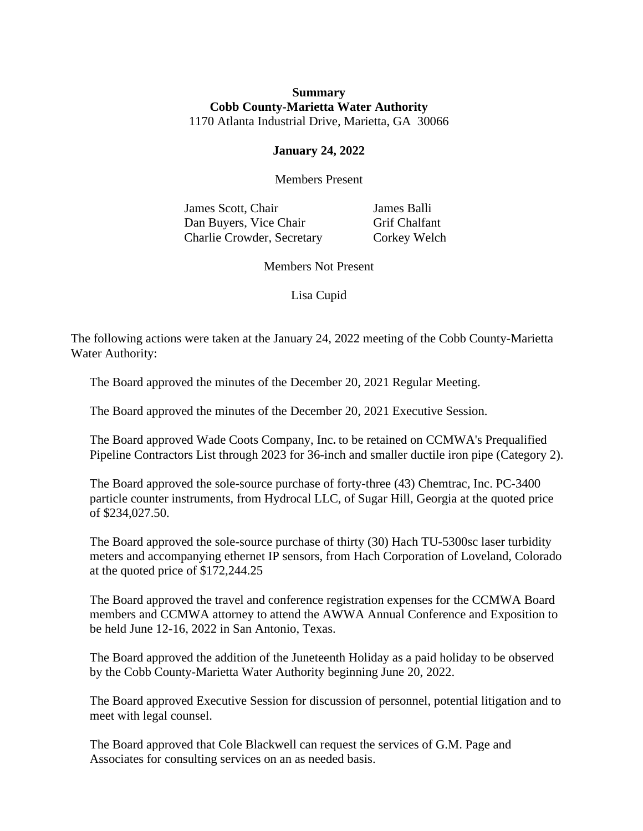## **Summary Cobb County-Marietta Water Authority** 1170 Atlanta Industrial Drive, Marietta, GA 30066

## **January 24, 2022**

Members Present

James Scott, Chair James Balli Dan Buyers, Vice Chair Grif Chalfant Charlie Crowder, Secretary Corkey Welch

Members Not Present

Lisa Cupid

The following actions were taken at the January 24, 2022 meeting of the Cobb County-Marietta Water Authority:

The Board approved the minutes of the December 20, 2021 Regular Meeting.

The Board approved the minutes of the December 20, 2021 Executive Session.

The Board approved Wade Coots Company, Inc**.** to be retained on CCMWA's Prequalified Pipeline Contractors List through 2023 for 36-inch and smaller ductile iron pipe (Category 2).

The Board approved the sole-source purchase of forty-three (43) Chemtrac, Inc. PC-3400 particle counter instruments, from Hydrocal LLC, of Sugar Hill, Georgia at the quoted price of \$234,027.50.

The Board approved the sole-source purchase of thirty (30) Hach TU-5300sc laser turbidity meters and accompanying ethernet IP sensors, from Hach Corporation of Loveland, Colorado at the quoted price of \$172,244.25

The Board approved the travel and conference registration expenses for the CCMWA Board members and CCMWA attorney to attend the AWWA Annual Conference and Exposition to be held June 12-16, 2022 in San Antonio, Texas.

The Board approved the addition of the Juneteenth Holiday as a paid holiday to be observed by the Cobb County-Marietta Water Authority beginning June 20, 2022.

The Board approved Executive Session for discussion of personnel, potential litigation and to meet with legal counsel.

The Board approved that Cole Blackwell can request the services of G.M. Page and Associates for consulting services on an as needed basis.